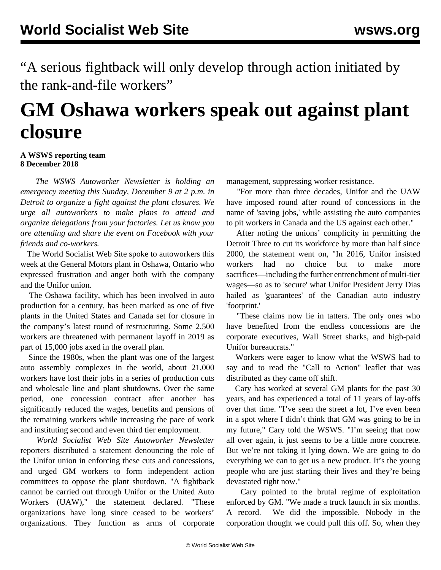"A serious fightback will only develop through action initiated by the rank-and-file workers"

## **GM Oshawa workers speak out against plant closure**

## **A WSWS reporting team 8 December 2018**

 *The WSWS Autoworker Newsletter is holding an emergency meeting this Sunday, December 9 at 2 p.m. in Detroit to organize a fight against the plant closures. We urge all autoworkers to make plans to attend and organize delegations from your factories. Let us know you are attending and share the event on Facebook with your friends and co-workers.*

 The World Socialist Web Site spoke to autoworkers this week at the General Motors plant in Oshawa, Ontario who expressed frustration and anger both with the company and the Unifor union.

 The Oshawa facility, which has been involved in auto production for a century, has been marked as one of five plants in the United States and Canada set for closure in the company's latest round of restructuring. Some 2,500 workers are threatened with permanent layoff in 2019 as part of 15,000 jobs axed in the overall plan.

 Since the 1980s, when the plant was one of the largest auto assembly complexes in the world, about 21,000 workers have lost their jobs in a series of production cuts and wholesale line and plant shutdowns. Over the same period, one concession contract after another has significantly reduced the wages, benefits and pensions of the remaining workers while increasing the pace of work and instituting second and even third tier employment.

 *World Socialist Web Site Autoworker Newsletter* reporters distributed a statement denouncing the role of the Unifor union in enforcing these cuts and concessions, and urged GM workers to form independent action committees to oppose the plant shutdown. "A fightback cannot be carried out through Unifor or the United Auto Workers (UAW)," the statement declared. "These organizations have long since ceased to be workers' organizations. They function as arms of corporate

management, suppressing worker resistance.

 "For more than three decades, Unifor and the UAW have imposed round after round of concessions in the name of 'saving jobs,' while assisting the auto companies to pit workers in Canada and the US against each other."

 After noting the unions' complicity in permitting the Detroit Three to cut its workforce by more than half since 2000, the statement went on, "In 2016, Unifor insisted workers had no choice but to make more sacrifices—including the further entrenchment of multi-tier wages—so as to 'secure' what Unifor President Jerry Dias hailed as 'guarantees' of the Canadian auto industry 'footprint.'

 "These claims now lie in tatters. The only ones who have benefited from the endless concessions are the corporate executives, Wall Street sharks, and high-paid Unifor bureaucrats."

 Workers were eager to know what the WSWS had to say and to read the "Call to Action" leaflet that was distributed as they came off shift.

 Cary has worked at several GM plants for the past 30 years, and has experienced a total of 11 years of lay-offs over that time. "I've seen the street a lot, I've even been in a spot where I didn't think that GM was going to be in my future," Cary told the WSWS. "I'm seeing that now all over again, it just seems to be a little more concrete. But we're not taking it lying down. We are going to do everything we can to get us a new product. It's the young people who are just starting their lives and they're being devastated right now."

 Cary pointed to the brutal regime of exploitation enforced by GM. "We made a truck launch in six months. A record. We did the impossible. Nobody in the corporation thought we could pull this off. So, when they